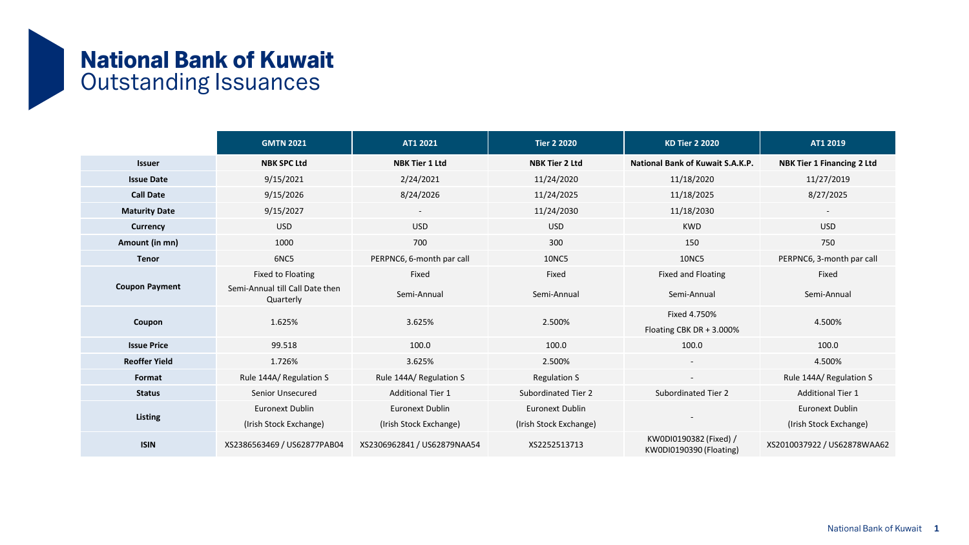## National Bank of Kuwait Outstanding Issuances

|                       | <b>GMTN 2021</b>                             | AT1 2021                    | <b>Tier 2 2020</b>     | <b>KD Tier 2 2020</b>                             | AT1 2019                          |
|-----------------------|----------------------------------------------|-----------------------------|------------------------|---------------------------------------------------|-----------------------------------|
| <b>Issuer</b>         | <b>NBK SPC Ltd</b>                           | <b>NBK Tier 1 Ltd</b>       | <b>NBK Tier 2 Ltd</b>  | <b>National Bank of Kuwait S.A.K.P.</b>           | <b>NBK Tier 1 Financing 2 Ltd</b> |
| <b>Issue Date</b>     | 9/15/2021                                    | 2/24/2021                   | 11/24/2020             | 11/18/2020                                        | 11/27/2019                        |
| <b>Call Date</b>      | 9/15/2026                                    | 8/24/2026                   | 11/24/2025             | 11/18/2025                                        | 8/27/2025                         |
| <b>Maturity Date</b>  | 9/15/2027                                    | $\sim$                      | 11/24/2030             | 11/18/2030                                        | $\sim$                            |
| <b>Currency</b>       | <b>USD</b>                                   | <b>USD</b>                  | <b>USD</b>             | <b>KWD</b>                                        | <b>USD</b>                        |
| Amount (in mn)        | 1000                                         | 700                         | 300                    | 150                                               | 750                               |
| <b>Tenor</b>          | 6NC5                                         | PERPNC6, 6-month par call   | <b>10NC5</b>           | <b>10NC5</b>                                      | PERPNC6, 3-month par call         |
| <b>Coupon Payment</b> | Fixed to Floating                            | Fixed                       | Fixed                  | Fixed and Floating                                | Fixed                             |
|                       | Semi-Annual till Call Date then<br>Quarterly | Semi-Annual                 | Semi-Annual            | Semi-Annual                                       | Semi-Annual                       |
| Coupon                | 1.625%                                       | 3.625%                      | 2.500%                 | Fixed 4.750%<br>Floating CBK DR + 3.000%          | 4.500%                            |
| <b>Issue Price</b>    | 99.518                                       | 100.0                       | 100.0                  | 100.0                                             | 100.0                             |
| <b>Reoffer Yield</b>  | 1.726%                                       | 3.625%                      | 2.500%                 | $\overline{\phantom{a}}$                          | 4.500%                            |
| Format                | Rule 144A/ Regulation S                      | Rule 144A/ Regulation S     | <b>Regulation S</b>    | $\sim$                                            | Rule 144A/ Regulation S           |
| <b>Status</b>         | Senior Unsecured                             | <b>Additional Tier 1</b>    | Subordinated Tier 2    | Subordinated Tier 2                               | <b>Additional Tier 1</b>          |
| Listing               | <b>Euronext Dublin</b>                       | <b>Euronext Dublin</b>      | <b>Euronext Dublin</b> |                                                   | <b>Euronext Dublin</b>            |
|                       | (Irish Stock Exchange)                       | (Irish Stock Exchange)      | (Irish Stock Exchange) |                                                   | (Irish Stock Exchange)            |
| <b>ISIN</b>           | XS2386563469 / US62877PAB04                  | XS2306962841 / US62879NAA54 | XS2252513713           | KW0DI0190382 (Fixed) /<br>KW0DI0190390 (Floating) | XS2010037922 / US62878WAA62       |